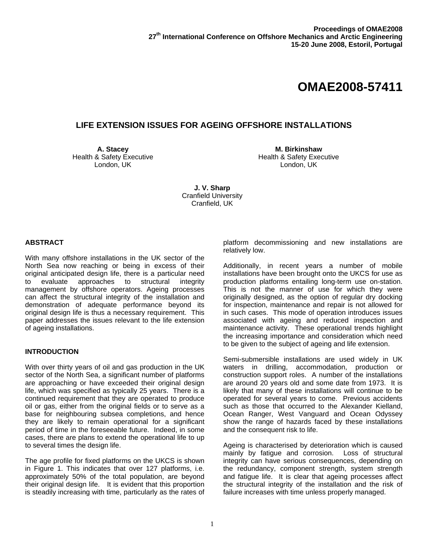# **OMAE2008-57411**

# **LIFE EXTENSION ISSUES FOR AGEING OFFSHORE INSTALLATIONS**

**A. Stacey**  Health & Safety Executive London, UK

**M. Birkinshaw**  Health & Safety Executive London, UK

**J. V. Sharp**  Cranfield University Cranfield, UK

#### **ABSTRACT**

With many offshore installations in the UK sector of the North Sea now reaching or being in excess of their original anticipated design life, there is a particular need to evaluate approaches to structural integrity management by offshore operators. Ageing processes can affect the structural integrity of the installation and demonstration of adequate performance beyond its original design life is thus a necessary requirement. This paper addresses the issues relevant to the life extension of ageing installations.

#### **INTRODUCTION**

With over thirty years of oil and gas production in the UK sector of the North Sea, a significant number of platforms are approaching or have exceeded their original design life, which was specified as typically 25 years. There is a continued requirement that they are operated to produce oil or gas, either from the original fields or to serve as a base for neighbouring subsea completions, and hence they are likely to remain operational for a significant period of time in the foreseeable future. Indeed, in some cases, there are plans to extend the operational life to up to several times the design life.

The age profile for fixed platforms on the UKCS is shown in Figure 1. This indicates that over 127 platforms, i.e. approximately 50% of the total population, are beyond their original design life. It is evident that this proportion is steadily increasing with time, particularly as the rates of platform decommissioning and new installations are relatively low.

Additionally, in recent years a number of mobile installations have been brought onto the UKCS for use as production platforms entailing long-term use on-station. This is not the manner of use for which they were originally designed, as the option of regular dry docking for inspection, maintenance and repair is not allowed for in such cases. This mode of operation introduces issues associated with ageing and reduced inspection and maintenance activity. These operational trends highlight the increasing importance and consideration which need to be given to the subject of ageing and life extension.

Semi-submersible installations are used widely in UK waters in drilling, accommodation, production or construction support roles. A number of the installations are around 20 years old and some date from 1973. It is likely that many of these installations will continue to be operated for several years to come. Previous accidents such as those that occurred to the Alexander Kielland, Ocean Ranger, West Vanguard and Ocean Odyssey show the range of hazards faced by these installations and the consequent risk to life.

Ageing is characterised by deterioration which is caused mainly by fatigue and corrosion. Loss of structural integrity can have serious consequences, depending on the redundancy, component strength, system strength and fatigue life. It is clear that ageing processes affect the structural integrity of the installation and the risk of failure increases with time unless properly managed.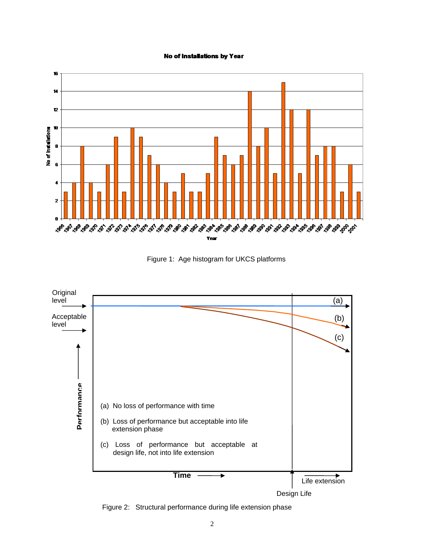#### No of Installations by Year







Figure 2: Structural performance during life extension phase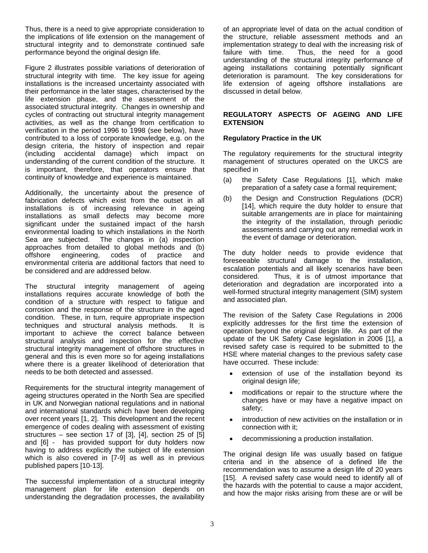Thus, there is a need to give appropriate consideration to the implications of life extension on the management of structural integrity and to demonstrate continued safe performance beyond the original design life.

Figure 2 illustrates possible variations of deterioration of structural integrity with time. The key issue for ageing installations is the increased uncertainty associated with their performance in the later stages, characterised by the life extension phase, and the assessment of the associated structural integrity. Changes in ownership and cycles of contracting out structural integrity management activities, as well as the change from certification to verification in the period 1996 to 1998 (see below), have contributed to a loss of corporate knowledge, e.g. on the design criteria, the history of inspection and repair (including accidental damage) which impact on understanding of the current condition of the structure. It is important, therefore, that operators ensure that continuity of knowledge and experience is maintained.

Additionally, the uncertainty about the presence of fabrication defects which exist from the outset in all installations is of increasing relevance in ageing installations as small defects may become more significant under the sustained impact of the harsh environmental loading to which installations in the North Sea are subjected. The changes in (a) inspection approaches from detailed to global methods and (b) offshore engineering, codes of practice and offshore engineering, codes of practice and environmental criteria are additional factors that need to be considered and are addressed below.

The structural integrity management of ageing installations requires accurate knowledge of both the condition of a structure with respect to fatigue and corrosion and the response of the structure in the aged condition. These, in turn, require appropriate inspection techniques and structural analysis methods. It is important to achieve the correct balance between structural analysis and inspection for the effective structural integrity management of offshore structures in general and this is even more so for ageing installations where there is a greater likelihood of deterioration that needs to be both detected and assessed.

Requirements for the structural integrity management of ageing structures operated in the North Sea are specified in UK and Norwegian national regulations and in national and international standards which have been developing over recent years [1, 2]. This development and the recent emergence of codes dealing with assessment of existing structures – see section 17 of [3], [4], section 25 of  $[5]$ and [6] - has provided support for duty holders now having to address explicitly the subject of life extension which is also covered in [7-9] as well as in previous published papers [10-13].

The successful implementation of a structural integrity management plan for life extension depends on understanding the degradation processes, the availability

of an appropriate level of data on the actual condition of the structure, reliable assessment methods and an implementation strategy to deal with the increasing risk of failure with time. Thus, the need for a good understanding of the structural integrity performance of ageing installations containing potentially significant deterioration is paramount. The key considerations for life extension of ageing offshore installations are discussed in detail below.

#### **REGULATORY ASPECTS OF AGEING AND LIFE EXTENSION**

# **Regulatory Practice in the UK**

The regulatory requirements for the structural integrity management of structures operated on the UKCS are specified in

- (a) the Safety Case Regulations [1], which make preparation of a safety case a formal requirement;
- (b) the Design and Construction Regulations (DCR) [14], which require the duty holder to ensure that suitable arrangements are in place for maintaining the integrity of the installation, through periodic assessments and carrying out any remedial work in the event of damage or deterioration.

The duty holder needs to provide evidence that foreseeable structural damage to the installation, escalation potentials and all likely scenarios have been<br>considered. Thus, it is of utmost importance that Thus, it is of utmost importance that deterioration and degradation are incorporated into a well-formed structural integrity management (SIM) system and associated plan.

The revision of the Safety Case Regulations in 2006 explicitly addresses for the first time the extension of operation beyond the original design life. As part of the update of the UK Safety Case legislation in 2006 [1], a revised safety case is required to be submitted to the HSE where material changes to the previous safety case have occurred. These include:

- extension of use of the installation beyond its original design life;
- modifications or repair to the structure where the changes have or may have a negative impact on safety;
- introduction of new activities on the installation or in connection with it;
- decommissioning a production installation.

The original design life was usually based on fatigue criteria and in the absence of a defined life the recommendation was to assume a design life of 20 years [15]. A revised safety case would need to identify all of the hazards with the potential to cause a major accident, and how the major risks arising from these are or will be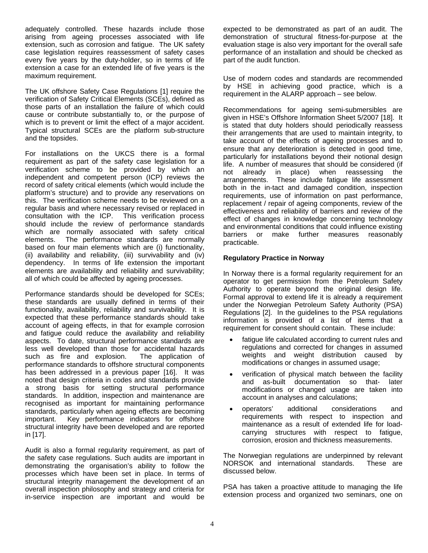adequately controlled. These hazards include those arising from ageing processes associated with life extension, such as corrosion and fatigue. The UK safety case legislation requires reassessment of safety cases every five years by the duty-holder, so in terms of life extension a case for an extended life of five years is the maximum requirement.

The UK offshore Safety Case Regulations [1] require the verification of Safety Critical Elements (SCEs), defined as those parts of an installation the failure of which could cause or contribute substantially to, or the purpose of which is to prevent or limit the effect of a major accident. Typical structural SCEs are the platform sub-structure and the topsides.

For installations on the UKCS there is a formal requirement as part of the safety case legislation for a verification scheme to be provided by which an independent and competent person (ICP) reviews the record of safety critical elements (which would include the platform's structure) and to provide any reservations on this. The verification scheme needs to be reviewed on a regular basis and where necessary revised or replaced in consultation with the ICP. This verification process should include the review of performance standards which are normally associated with safety critical elements. The performance standards are normally based on four main elements which are (i) functionality, (ii) availability and reliability, (iii) survivability and (iv) dependency. In terms of life extension the important elements are availability and reliability and survivability; all of which could be affected by ageing processes.

Performance standards should be developed for SCEs; these standards are usually defined in terms of their functionality, availability, reliability and survivability. It is expected that these performance standards should take account of ageing effects, in that for example corrosion and fatigue could reduce the availability and reliability aspects. To date, structural performance standards are less well developed than those for accidental hazards such as fire and explosion. The application of performance standards to offshore structural components has been addressed in a previous paper [16]. It was noted that design criteria in codes and standards provide a strong basis for setting structural performance standards. In addition, inspection and maintenance are recognised as important for maintaining performance standards, particularly when ageing effects are becoming important. Key performance indicators for offshore structural integrity have been developed and are reported in [17].

Audit is also a formal regularity requirement, as part of the safety case regulations. Such audits are important in demonstrating the organisation's ability to follow the processes which have been set in place. In terms of structural integrity management the development of an overall inspection philosophy and strategy and criteria for in-service inspection are important and would be

expected to be demonstrated as part of an audit. The demonstration of structural fitness-for-purpose at the evaluation stage is also very important for the overall safe performance of an installation and should be checked as part of the audit function.

Use of modern codes and standards are recommended by HSE in achieving good practice, which is a requirement in the ALARP approach – see below.

Recommendations for ageing semi-submersibles are given in HSE's Offshore Information Sheet 5/2007 [18]. It is stated that duty holders should periodically reassess their arrangements that are used to maintain integrity, to take account of the effects of ageing processes and to ensure that any deterioration is detected in good time, particularly for installations beyond their notional design life. A number of measures that should be considered (if not already in place) when reassessing the not already in place) when reassessing the arrangements. These include fatigue life assessment both in the in-tact and damaged condition, inspection requirements, use of information on past performance, replacement / repair of ageing components, review of the effectiveness and reliability of barriers and review of the effect of changes in knowledge concerning technology and environmental conditions that could influence existing barriers or make further measures reasonably practicable.

# **Regulatory Practice in Norway**

In Norway there is a formal regularity requirement for an operator to get permission from the Petroleum Safety Authority to operate beyond the original design life. Formal approval to extend life it is already a requirement under the Norwegian Petroleum Safety Authority (PSA) Regulations [2]. In the guidelines to the PSA regulations information is provided of a list of items that a requirement for consent should contain. These include:

- fatigue life calculated according to current rules and regulations and corrected for changes in assumed weights and weight distribution caused by modifications or changes in assumed usage;
- verification of physical match between the facility and as-built documentation so that- later modifications or changed usage are taken into account in analyses and calculations;
- operators' additional considerations and requirements with respect to inspection and maintenance as a result of extended life for loadcarrying structures with respect to fatigue, corrosion, erosion and thickness measurements.

The Norwegian regulations are underpinned by relevant NORSOK and international standards. These are discussed below.

PSA has taken a proactive attitude to managing the life extension process and organized two seminars, one on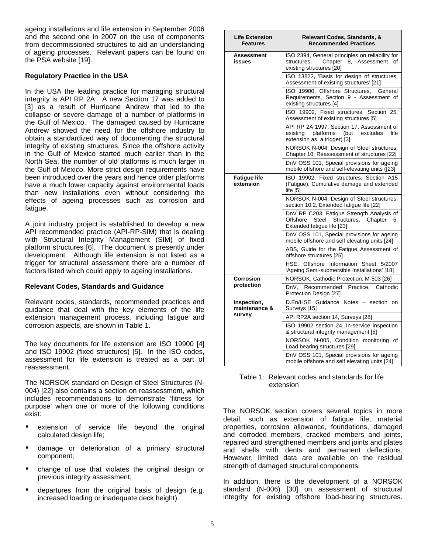ageing installations and life extension in September 2006 and the second one in 2007 on the use of components from decommissioned structures to aid an understanding of ageing processes. Relevant papers can be found on the PSA website [19].

#### **Regulatory Practice in the USA**

In the USA the leading practice for managing structural integrity is API RP 2A. A new Section 17 was added to [3] as a result of Hurricane Andrew that led to the collapse or severe damage of a number of platforms in the Gulf of Mexico. The damaged caused by Hurricane Andrew showed the need for the offshore industry to obtain a standardized way of documenting the structural integrity of existing structures. Since the offshore activity in the Gulf of Mexico started much earlier than in the North Sea, the number of old platforms is much larger in the Gulf of Mexico. More strict design requirements have been introduced over the years and hence older platforms have a much lower capacity against environmental loads than new installations even without considering the effects of ageing processes such as corrosion and fatigue.

A joint industry project is established to develop a new API recommended practice (API-RP-SIM) that is dealing with Structural Integrity Management (SIM) of fixed platform structures [6]. The document is presently under development. Although life extension is not listed as a trigger for structural assessment there are a number of factors listed which could apply to ageing installations.

# **Relevant Codes, Standards and Guidance**

Relevant codes, standards, recommended practices and guidance that deal with the key elements of the life extension management process, including fatigue and corrosion aspects, are shown in Table 1.

The key documents for life extension are ISO 19900 [4] and ISO 19902 (fixed structures) [5]. In the ISO codes, assessment for life extension is treated as a part of reassessment.

The NORSOK standard on Design of Steel Structures (N-004) [22] also contains a section on reassessment, which includes recommendations to demonstrate 'fitness for purpose' when one or more of the following conditions exist:

- extension of service life beyond the original calculated design life;
- damage or deterioration of a primary structural component;
- change of use that violates the original design or previous integrity assessment;
- departures from the original basis of design (e.g. increased loading or inadequate deck height).

| <b>Life Extension</b><br><b>Features</b> | Relevant Codes, Standards, &<br><b>Recommended Practices</b>                                                                  |
|------------------------------------------|-------------------------------------------------------------------------------------------------------------------------------|
| Assessment<br>issues                     | ISO 2394, General principles on reliability for<br>Chapter 8, Assessment<br>structures,<br>of<br>existing structures [20]     |
|                                          | ISO 13822, 'Basis for design of structures,<br>Assessment of existing structures' [21]                                        |
|                                          | ISO 19900, Offshore Structures,<br>General<br>Requirements, Section 9 - Assessment of<br>existing structures [4]              |
|                                          | ISO 19902, Fixed structures, Section 25,<br>Assessment of existing structures [5]                                             |
|                                          | API RP 2A 1997, Section 17, Assessment of<br>platforms<br>excludes<br>existing<br>(but<br>life<br>extension as a trigger) [3] |
|                                          | NORSOK N-004, Design of Steel structures,<br>Chapter 10, Reassessment of structures [22]                                      |
|                                          | DnV OSS 101, Special provisions for ageing<br>mobile offshore and self-elevating units ([23]                                  |
| <b>Fatique life</b><br>extension         | ISO 19902, Fixed structures, Section A15<br>(Fatigue), Cumulative damage and extended<br>life $[5]$                           |
|                                          | NORSOK N-004, Design of Steel structures,<br>section 10.2, Extended fatigue life [22]                                         |
|                                          | DnV RP C203, Fatigue Strength Analysis of<br>Offshore<br>Steel<br>Structures, Chapter<br>-5.<br>Extended fatigue life [23]    |
|                                          | DnV OSS 101, Special provisions for ageing<br>mobile offshore and self elevating units [24]                                   |
|                                          | ABS, Guide for the Fatique Assessment of<br>offshore structures [25]                                                          |
|                                          | Offshore Information Sheet 5/2007<br>HSE.<br>'Ageing Semi-submersible Installations' [18]                                     |
| Corrosion                                | NORSOK, Cathodic Protection, M-503 [26]                                                                                       |
| protection                               | Practice, Cathodic<br>DnV.<br>Recommended<br>Protection Design [27]                                                           |
| Inspection,<br>maintenance &             | D.En/HSE Guidance Notes - section on<br>Surveys [15]                                                                          |
| survey                                   | API RP2A section 14, Surveys [28]                                                                                             |
|                                          | ISO 19902 section 24, In-service inspection<br>& structural integrity management [5]                                          |
|                                          | NORSOK N-005, Condition monitoring of<br>Load bearing structures [29]                                                         |
|                                          | DnV OSS 101, Special provisions for ageing<br>mobile offshore and self elevating units [24]                                   |

#### Table 1: Relevant codes and standards for life extension

The NORSOK section covers several topics in more detail, such as extension of fatigue life, material properties, corrosion allowance, foundations, damaged and corroded members, cracked members and joints, repaired and strengthened members and joints and plates and shells with dents and permanent deflections. However, limited data are available on the residual strength of damaged structural components.

In addition, there is the development of a NORSOK standard (N-006) [30] on assessment of structural integrity for existing offshore load-bearing structures.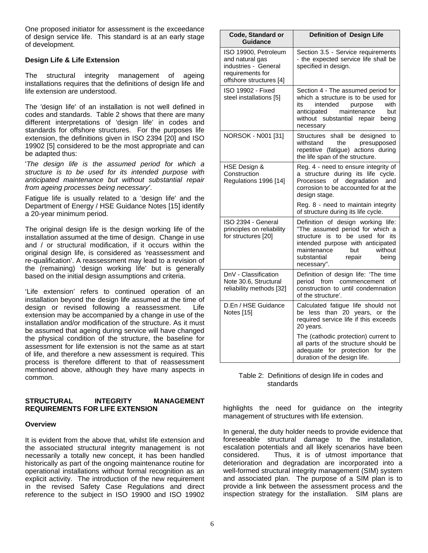One proposed initiator for assessment is the exceedance of design service life. This standard is at an early stage of development.

#### **Design Life & Life Extension**

The structural integrity management of ageing installations requires that the definitions of design life and life extension are understood.

The 'design life' of an installation is not well defined in codes and standards. Table 2 shows that there are many different interpretations of 'design life' in codes and standards for offshore structures. For the purposes life extension, the definitions given in ISO 2394 [20] and ISO 19902 [5] considered to be the most appropriate and can be adapted thus:

'*The design life is the assumed period for which a structure is to be used for its intended purpose with anticipated maintenance but without substantial repair from ageing processes being necessary'*.

Fatigue life is usually related to a 'design life' and the Department of Energy / HSE Guidance Notes [15] identify a 20-year minimum period.

The original design life is the design working life of the installation assumed at the time of design. Change in use and / or structural modification, if it occurs within the original design life, is considered as 'reassessment and re-qualification'. A reassessment may lead to a revision of the (remaining) 'design working life' but is generally based on the initial design assumptions and criteria.

'Life extension' refers to continued operation of an installation beyond the design life assumed at the time of design or revised following a reassessment. Life extension may be accompanied by a change in use of the installation and/or modification of the structure. As it must be assumed that ageing during service will have changed the physical condition of the structure, the baseline for assessment for life extension is not the same as at start of life, and therefore a new assessment is required. This process is therefore different to that of reassessment mentioned above, although they have many aspects in common.

#### **STRUCTURAL INTEGRITY MANAGEMENT REQUIREMENTS FOR LIFE EXTENSION**

#### **Overview**

It is evident from the above that, whilst life extension and the associated structural integrity management is not necessarily a totally new concept, it has been handled historically as part of the ongoing maintenance routine for operational installations without formal recognition as an explicit activity. The introduction of the new requirement in the revised Safety Case Regulations and direct reference to the subject in ISO 19900 and ISO 19902

|  | Code, Standard or<br>Guidance                                                                                  | <b>Definition of Design Life</b>                                                                                                                                                                                                   |
|--|----------------------------------------------------------------------------------------------------------------|------------------------------------------------------------------------------------------------------------------------------------------------------------------------------------------------------------------------------------|
|  | ISO 19900, Petroleum<br>and natural gas<br>industries - General<br>requirements for<br>offshore structures [4] | Section 3.5 - Service requirements<br>- the expected service life shall be<br>specified in design.                                                                                                                                 |
|  | ISO 19902 - Fixed<br>steel installations [5]                                                                   | Section 4 - The assumed period for<br>which a structure is to be used for<br>with<br>intended<br>its<br>purpose<br>anticipated maintenance<br>but<br>without substantial repair being<br>necessary                                 |
|  | NORSOK - N001 [31]                                                                                             | Structures shall be designed to<br>withstand<br>the<br>presupposed<br>repetitive (fatigue) actions during<br>the life span of the structure.                                                                                       |
|  | HSE Design &<br>Construction<br>Regulations 1996 [14]                                                          | Reg. 4 - need to ensure integrity of<br>a structure during its life cycle.<br>of degradation<br>and<br>Processes<br>corrosion to be accounted for at the<br>design stage.                                                          |
|  |                                                                                                                | Reg. 8 - need to maintain integrity<br>of structure during its life cycle.                                                                                                                                                         |
|  | ISO 2394 - General<br>principles on reliability<br>for structures [20]                                         | Definition of design working life:<br>"The assumed period for which a<br>is to be used for its<br>structure<br>intended purpose with anticipated<br>without<br>maintenance<br>but<br>substantial<br>being<br>repair<br>necessary". |
|  | DnV - Classification<br>Note 30.6, Structural<br>reliability methods [32]                                      | Definition of design life: 'The time<br>period from commencement<br>of<br>construction to until condemnation<br>of the structure'.                                                                                                 |
|  | D.En / HSE Guidance<br>Notes [15]                                                                              | Calculated fatigue life should not<br>be less than 20 years, or<br>the<br>required service life if this exceeds<br>20 years.                                                                                                       |
|  |                                                                                                                | The (cathodic protection) current to<br>all parts of the structure should be<br>adequate for protection for the<br>duration of the design life.                                                                                    |

#### Table 2: Definitions of design life in codes and standards

highlights the need for guidance on the integrity management of structures with life extension.

In general, the duty holder needs to provide evidence that foreseeable structural damage to the installation, escalation potentials and all likely scenarios have been considered. Thus, it is of utmost importance that deterioration and degradation are incorporated into a well-formed structural integrity management (SIM) system and associated plan. The purpose of a SIM plan is to provide a link between the assessment process and the inspection strategy for the installation. SIM plans are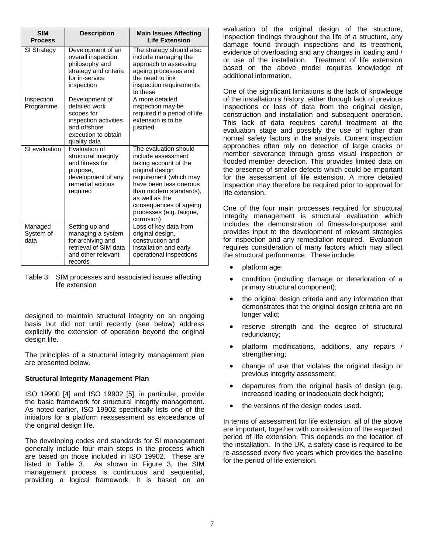| <b>SIM</b><br><b>Process</b> | <b>Description</b>                                                                                                            | <b>Main Issues Affecting</b><br><b>Life Extension</b>                                                                                                                                                                                                        |
|------------------------------|-------------------------------------------------------------------------------------------------------------------------------|--------------------------------------------------------------------------------------------------------------------------------------------------------------------------------------------------------------------------------------------------------------|
| SI Strategy                  | Development of an<br>overall inspection<br>philosophy and<br>strategy and criteria<br>for in-service<br>inspection            | The strategy should also<br>include managing the<br>approach to assessing<br>ageing processes and<br>the need to link<br>inspection requirements<br>to these                                                                                                 |
| Inspection<br>Programme      | Development of<br>detailed work<br>scopes for<br>inspection activities<br>and offshore<br>execution to obtain<br>quality data | A more detailed<br>inspection may be<br>required if a period of life<br>extension is to be<br>justified                                                                                                                                                      |
| SI evaluation                | Evaluation of<br>structural integrity<br>and fitness for<br>purpose,<br>development of any<br>remedial actions<br>required    | The evaluation should<br>include assessment<br>taking account of the<br>original design<br>requirement (which may<br>have been less onerous<br>than modern standards),<br>as well as the<br>consequences of ageing<br>processes (e.g. fatigue,<br>corrosion) |
| Managed<br>System of<br>data | Setting up and<br>managing a system<br>for archiving and<br>retrieval of SIM data<br>and other relevant<br>records            | Loss of key data from<br>original design,<br>construction and<br>installation and early<br>operational inspections                                                                                                                                           |

Table 3: SIM processes and associated issues affecting life extension

designed to maintain structural integrity on an ongoing basis but did not until recently (see below) address explicitly the extension of operation beyond the original design life.

The principles of a structural integrity management plan are presented below.

#### **Structural Integrity Management Plan**

ISO 19900 [4] and ISO 19902 [5], in particular, provide the basic framework for structural integrity management. As noted earlier, ISO 19902 specifically lists one of the initiators for a platform reassessment as exceedance of the original design life.

The developing codes and standards for SI management generally include four main steps in the process which are based on those included in ISO 19902. These are listed in Table 3. As shown in Figure 3, the SIM management process is continuous and sequential, providing a logical framework. It is based on an

evaluation of the original design of the structure, inspection findings throughout the life of a structure, any damage found through inspections and its treatment, evidence of overloading and any changes in loading and / or use of the installation. Treatment of life extension based on the above model requires knowledge of additional information.

One of the significant limitations is the lack of knowledge of the installation's history, either through lack of previous inspections or loss of data from the original design, construction and installation and subsequent operation. This lack of data requires careful treatment at the evaluation stage and possibly the use of higher than normal safety factors in the analysis. Current inspection approaches often rely on detection of large cracks or member severance through gross visual inspection or flooded member detection. This provides limited data on the presence of smaller defects which could be important for the assessment of life extension. A more detailed inspection may therefore be required prior to approval for life extension.

One of the four main processes required for structural integrity management is structural evaluation which includes the demonstration of fitness-for-purpose and provides input to the development of relevant strategies for inspection and any remediation required. Evaluation requires consideration of many factors which may affect the structural performance. These include:

- platform age;
- condition (including damage or deterioration of a primary structural component);
- the original design criteria and any information that demonstrates that the original design criteria are no longer valid;
- reserve strength and the degree of structural redundancy;
- platform modifications, additions, any repairs / strengthening;
- change of use that violates the original design or previous integrity assessment;
- departures from the original basis of design (e.g. increased loading or inadequate deck height);
- the versions of the design codes used.

In terms of assessment for life extension, all of the above are important, together with consideration of the expected period of life extension. This depends on the location of the installation. In the UK, a safety case is required to be re-assessed every five years which provides the baseline for the period of life extension.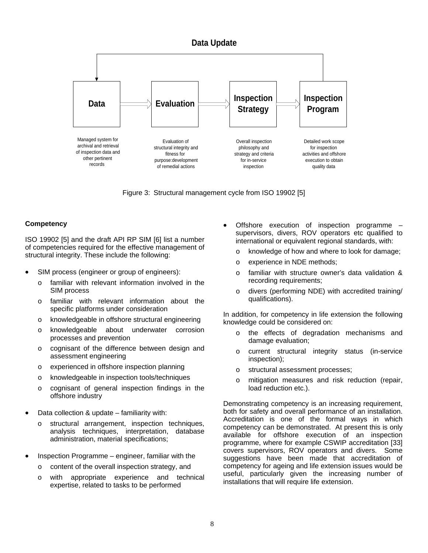# **Data Update**



Figure 3: Structural management cycle from ISO 19902 [5]

# **Competency**

ISO 19902 [5] and the draft API RP SIM [6] list a number of competencies required for the effective management of structural integrity. These include the following:

- SIM process (engineer or group of engineers):
	- $\circ$  familiar with relevant information involved in the SIM process
	- o familiar with relevant information about the specific platforms under consideration
	- o knowledgeable in offshore structural engineering
	- o knowledgeable about underwater corrosion processes and prevention
	- o cognisant of the difference between design and assessment engineering
	- o experienced in offshore inspection planning
	- o knowledgeable in inspection tools/techniques
	- o cognisant of general inspection findings in the offshore industry
- Data collection & update familiarity with:
	- structural arrangement, inspection techniques, analysis techniques, interpretation, database administration, material specifications;
- Inspection Programme engineer, familiar with the
	- o content of the overall inspection strategy, and
	- o with appropriate experience and technical expertise, related to tasks to be performed
- Offshore execution of inspection programme supervisors, divers, ROV operators etc qualified to international or equivalent regional standards, with:
	- o knowledge of how and where to look for damage;
	- o experience in NDE methods;
	- o familiar with structure owner's data validation & recording requirements;
	- o divers (performing NDE) with accredited training/ qualifications).

In addition, for competency in life extension the following knowledge could be considered on:

- o the effects of degradation mechanisms and damage evaluation;
- o current structural integrity status (in-service inspection);
- o structural assessment processes;
- o mitigation measures and risk reduction (repair, load reduction etc.).

Demonstrating competency is an increasing requirement, both for safety and overall performance of an installation. Accreditation is one of the formal ways in which competency can be demonstrated. At present this is only available for offshore execution of an inspection programme, where for example CSWIP accreditation [33] covers supervisors, ROV operators and divers. Some suggestions have been made that accreditation of competency for ageing and life extension issues would be useful, particularly given the increasing number of installations that will require life extension.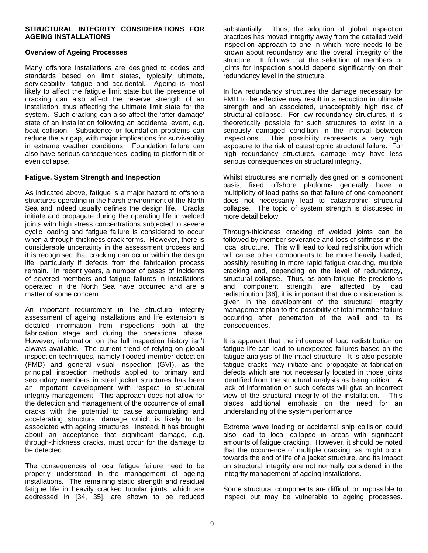#### **STRUCTURAL INTEGRITY CONSIDERATIONS FOR AGEING INSTALLATIONS**

#### **Overview of Ageing Processes**

Many offshore installations are designed to codes and standards based on limit states, typically ultimate, serviceability, fatigue and accidental. Ageing is most likely to affect the fatigue limit state but the presence of cracking can also affect the reserve strength of an installation, thus affecting the ultimate limit state for the system. Such cracking can also affect the 'after-damage' state of an installation following an accidental event, e.g. boat collision. Subsidence or foundation problems can reduce the air gap, with major implications for survivability in extreme weather conditions. Foundation failure can also have serious consequences leading to platform tilt or even collapse.

#### **Fatigue, System Strength and Inspection**

As indicated above, fatigue is a major hazard to offshore structures operating in the harsh environment of the North Sea and indeed usually defines the design life. Cracks initiate and propagate during the operating life in welded joints with high stress concentrations subjected to severe cyclic loading and fatigue failure is considered to occur when a through-thickness crack forms. However, there is considerable uncertainty in the assessment process and it is recognised that cracking can occur within the design life, particularly if defects from the fabrication process remain. In recent years, a number of cases of incidents of severed members and fatigue failures in installations operated in the North Sea have occurred and are a matter of some concern.

An important requirement in the structural integrity assessment of ageing installations and life extension is detailed information from inspections both at the fabrication stage and during the operational phase. However, information on the full inspection history isn't always available. The current trend of relying on global inspection techniques, namely flooded member detection (FMD) and general visual inspection (GVI), as the principal inspection methods applied to primary and secondary members in steel jacket structures has been an important development with respect to structural integrity management. This approach does not allow for the detection and management of the occurrence of small cracks with the potential to cause accumulating and accelerating structural damage which is likely to be associated with ageing structures. Instead, it has brought about an acceptance that significant damage, e.g. through-thickness cracks, must occur for the damage to be detected.

**T**he consequences of local fatigue failure need to be properly understood in the management of ageing installations.The remaining static strength and residual fatigue life in heavily cracked tubular joints, which are addressed in [34, 35], are shown to be reduced

substantially. Thus, the adoption of global inspection practices has moved integrity away from the detailed weld inspection approach to one in which more needs to be known about redundancy and the overall integrity of the structure. It follows that the selection of members or joints for inspection should depend significantly on their redundancy level in the structure.

In low redundancy structures the damage necessary for FMD to be effective may result in a reduction in ultimate strength and an associated, unacceptably high risk of structural collapse. For low redundancy structures, it is theoretically possible for such structures to exist in a seriously damaged condition in the interval between inspections. This possibility represents a very high exposure to the risk of catastrophic structural failure. For high redundancy structures, damage may have less serious consequences on structural integrity.

Whilst structures are normally designed on a component basis, fixed offshore platforms generally have a multiplicity of load paths so that failure of one component does not necessarily lead to catastrophic structural collapse. The topic of system strength is discussed in more detail below.

Through-thickness cracking of welded joints can be followed by member severance and loss of stiffness in the local structure. This will lead to load redistribution which will cause other components to be more heavily loaded. possibly resulting in more rapid fatigue cracking, multiple cracking and, depending on the level of redundancy, structural collapse. Thus, as both fatigue life predictions and component strength are affected by load redistribution [36], it is important that due consideration is given in the development of the structural integrity management plan to the possibility of total member failure occurring after penetration of the wall and to its consequences.

It is apparent that the influence of load redistribution on fatigue life can lead to unexpected failures based on the fatigue analysis of the intact structure. It is also possible fatigue cracks may initiate and propagate at fabrication defects which are not necessarily located in those joints identified from the structural analysis as being critical. A lack of information on such defects will give an incorrect view of the structural integrity of the installation. This places additional emphasis on the need for an understanding of the system performance.

Extreme wave loading or accidental ship collision could also lead to local collapse in areas with significant amounts of fatigue cracking. However, it should be noted that the occurrence of multiple cracking, as might occur towards the end of life of a jacket structure, and its impact on structural integrity are not normally considered in the integrity management of ageing installations.

Some structural components are difficult or impossible to inspect but may be vulnerable to ageing processes.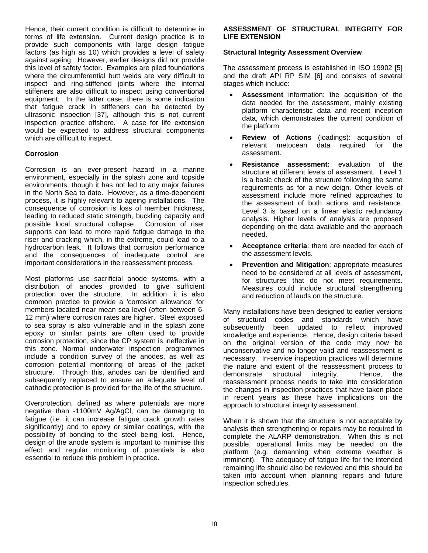Hence, their current condition is difficult to determine in terms of life extension. Current design practice is to provide such components with large design fatigue factors (as high as 10) which provides a level of safety against ageing. However, earlier designs did not provide this level of safety factor. Examples are piled foundations where the circumferential butt welds are very difficult to inspect and ring-stiffened joints where the internal stiffeners are also difficult to inspect using conventional equipment. In the latter case, there is some indication that fatigue crack in stiffeners can be detected by ultrasonic inspection [37], although this is not current inspection practice offshore. A case for life extension would be expected to address structural components which are difficult to inspect.

# **Corrosion**

Corrosion is an ever-present hazard in a marine environment, especially in the splash zone and topside environments, though it has not led to any major failures in the North Sea to date. However, as a time-dependent process, it is highly relevant to ageing installations. The consequence of corrosion is loss of member thickness, leading to reduced static strength, buckling capacity and possible local structural collapse. Corrosion of riser supports can lead to more rapid fatigue damage to the riser and cracking which, in the extreme, could lead to a hydrocarbon leak. It follows that corrosion performance and the consequences of inadequate control are important considerations in the reassessment process.

Most platforms use sacrificial anode systems, with a distribution of anodes provided to give sufficient protection over the structure. In addition, it is also common practice to provide a 'corrosion allowance' for members located near mean sea level (often between 6- 12 mm) where corrosion rates are higher. Steel exposed to sea spray is also vulnerable and in the splash zone epoxy or similar paints are often used to provide corrosion protection, since the CP system is ineffective in this zone. Normal underwater inspection programmes include a condition survey of the anodes, as well as corrosion potential monitoring of areas of the jacket structure. Through this, anodes can be identified and subsequently replaced to ensure an adequate level of cathodic protection is provided for the life of the structure.

Overprotection, defined as where potentials are more negative than -1100mV Ag/AgCl, can be damaging to fatigue (i.e. it can increase fatigue crack growth rates significantly) and to epoxy or similar coatings, with the possibility of bonding to the steel being lost. Hence, design of the anode system is important to minimise this effect and regular monitoring of potentials is also essential to reduce this problem in practice.

#### **ASSESSMENT OF STRUCTURAL INTEGRITY FOR LIFE EXTENSION**

#### **Structural Integrity Assessment Overview**

The assessment process is established in ISO 19902 [5] and the draft API RP SIM [6] and consists of several stages which include:

- **Assessment** information: the acquisition of the data needed for the assessment, mainly existing platform characteristic data and recent inception data, which demonstrates the current condition of the platform
- **Review of Actions** (loadings): acquisition of relevant metocean data required for the assessment.
- **Resistance assessment:** evaluation of the structure at different levels of assessment. Level 1 is a basic check of the structure following the same requirements as for a new deign. Other levels of assessment include more refined approaches to the assessment of both actions and resistance. Level 3 is based on a linear elastic redundancy analysis. Higher levels of analysis are proposed depending on the data available and the approach needed.
- **Acceptance criteria**: there are needed for each of the assessment levels.
- **Prevention and Mitigation: appropriate measures** need to be considered at all levels of assessment, for structures that do not meet requirements. Measures could include structural strengthening and reduction of lauds on the structure.

Many installations have been designed to earlier versions of structural codes and standards which have subsequently been updated to reflect improved knowledge and experience. Hence, design criteria based on the original version of the code may now be unconservative and no longer valid and reassessment is necessary. In-service inspection practices will determine the nature and extent of the reassessment process to demonstrate structural integrity. Hence, the reassessment process needs to take into consideration the changes in inspection practices that have taken place in recent years as these have implications on the approach to structural integrity assessment.

When it is shown that the structure is not acceptable by analysis then strengthening or repairs may be required to complete the ALARP demonstration. When this is not possible, operational limits may be needed on the platform (e.g. demanning when extreme weather is imminent). The adequacy of fatigue life for the intended remaining life should also be reviewed and this should be taken into account when planning repairs and future inspection schedules.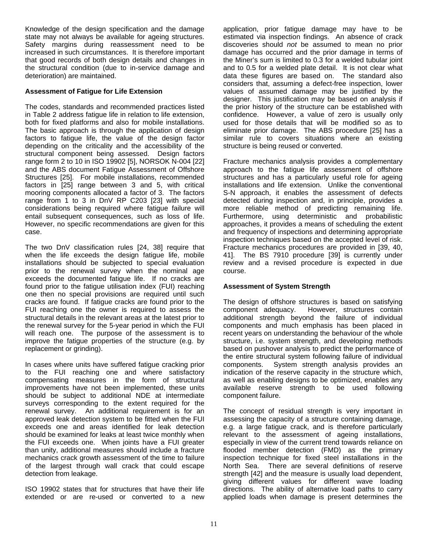Knowledge of the design specification and the damage state may not always be available for ageing structures. Safety margins during reassessment need to be increased in such circumstances. It is therefore important that good records of both design details and changes in the structural condition (due to in-service damage and deterioration) are maintained.

#### **Assessment of Fatigue for Life Extension**

The codes, standards and recommended practices listed in Table 2 address fatigue life in relation to life extension, both for fixed platforms and also for mobile installations. The basic approach is through the application of design factors to fatigue life, the value of the design factor depending on the criticality and the accessibility of the structural component being assessed. Design factors range form 2 to 10 in ISO 19902 [5], NORSOK N-004 [22] and the ABS document Fatigue Assessment of Offshore Structures [25]. For mobile installations, recommended factors in [25] range between 3 and 5, with critical mooring components allocated a factor of 3. The factors range from 1 to 3 in DnV RP C203 [23] with special considerations being required where fatigue failure will entail subsequent consequences, such as loss of life. However, no specific recommendations are given for this case.

The two DnV classification rules [24, 38] require that when the life exceeds the design fatigue life, mobile installations should be subjected to special evaluation prior to the renewal survey when the nominal age exceeds the documented fatigue life. If no cracks are found prior to the fatigue utilisation index (FUI) reaching one then no special provisions are required until such cracks are found. If fatigue cracks are found prior to the FUI reaching one the owner is required to assess the structural details in the relevant areas at the latest prior to the renewal survey for the 5-year period in which the FUI will reach one. The purpose of the assessment is to improve the fatigue properties of the structure (e.g. by replacement or grinding).

In cases where units have suffered fatigue cracking prior to the FUI reaching one and where satisfactory compensating measures in the form of structural improvements have not been implemented, these units should be subject to additional NDE at intermediate surveys corresponding to the extent required for the renewal survey. An additional requirement is for an approved leak detection system to be fitted when the FUI exceeds one and areas identified for leak detection should be examined for leaks at least twice monthly when the FUI exceeds one. When joints have a FUI greater than unity, additional measures should include a fracture mechanics crack growth assessment of the time to failure of the largest through wall crack that could escape detection from leakage.

ISO 19902 states that for structures that have their life extended or are re-used or converted to a new application, prior fatigue damage may have to be estimated via inspection findings. An absence of crack discoveries should *not* be assumed to mean no prior damage has occurred and the prior damage in terms of the Miner's sum is limited to 0.3 for a welded tubular joint and to 0.5 for a welded plate detail. It is not clear what data these figures are based on. The standard also considers that, assuming a defect-free inspection, lower values of assumed damage may be justified by the designer. This justification may be based on analysis if the prior history of the structure can be established with confidence. However, a value of zero is usually only used for those details that will be modified so as to eliminate prior damage. The ABS procedure [25] has a similar rule to covers situations where an existing structure is being reused or converted.

Fracture mechanics analysis provides a complementary approach to the fatigue life assessment of offshore structures and has a particularly useful role for ageing installations and life extension. Unlike the conventional S-N approach, it enables the assessment of defects detected during inspection and, in principle, provides a more reliable method of predicting remaining life. Furthermore, using deterministic and probabilistic approaches, it provides a means of scheduling the extent and frequency of inspections and determining appropriate inspection techniques based on the accepted level of risk. Fracture mechanics procedures are provided in [39, 40, 41]. The BS 7910 procedure [39] is currently under review and a revised procedure is expected in due course.

# **Assessment of System Strength**

The design of offshore structures is based on satisfying component adequacy. However, structures contain additional strength beyond the failure of individual components and much emphasis has been placed in recent years on understanding the behaviour of the whole structure, i.e. system strength, and developing methods based on pushover analysis to predict the performance of the entire structural system following failure of individual components. System strength analysis provides an indication of the reserve capacity in the structure which, as well as enabling designs to be optimized, enables any available reserve strength to be used following component failure.

The concept of residual strength is very important in assessing the capacity of a structure containing damage, e.g. a large fatigue crack, and is therefore particularly relevant to the assessment of ageing installations, especially in view of the current trend towards reliance on flooded member detection (FMD) as the primary inspection technique for fixed steel installations in the North Sea. There are several definitions of reserve strength [42] and the measure is usually load dependent. giving different values for different wave loading directions. The ability of alternative load paths to carry applied loads when damage is present determines the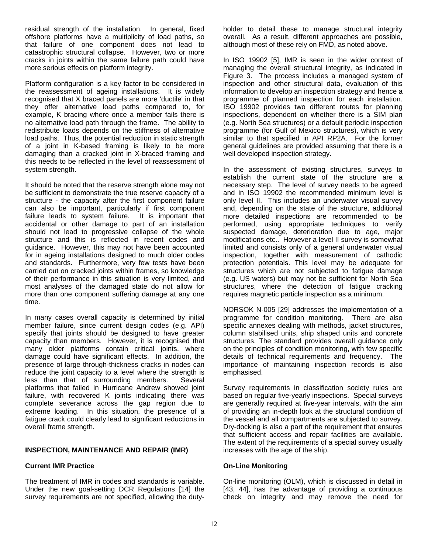residual strength of the installation. In general, fixed offshore platforms have a multiplicity of load paths, so that failure of one component does not lead to catastrophic structural collapse. However, two or more cracks in joints within the same failure path could have more serious effects on platform integrity.

Platform configuration is a key factor to be considered in the reassessment of ageing installations. It is widely recognised that X braced panels are more 'ductile' in that they offer alternative load paths compared to, for example, K bracing where once a member fails there is no alternative load path through the frame. The ability to redistribute loads depends on the stiffness of alternative load paths. Thus, the potential reduction in static strength of a joint in K-based framing is likely to be more damaging than a cracked joint in X-braced framing and this needs to be reflected in the level of reassessment of system strength.

It should be noted that the reserve strength alone may not be sufficient to demonstrate the true reserve capacity of a structure - the capacity after the first component failure can also be important, particularly if first component failure leads to system failure. It is important that accidental or other damage to part of an installation should not lead to progressive collapse of the whole structure and this is reflected in recent codes and guidance. However, this may not have been accounted for in ageing installations designed to much older codes and standards. Furthermore, very few tests have been carried out on cracked joints within frames, so knowledge of their performance in this situation is very limited, and most analyses of the damaged state do not allow for more than one component suffering damage at any one time.

In many cases overall capacity is determined by initial member failure, since current design codes (e.g. API) specify that joints should be designed to have greater capacity than members. However, it is recognised that many older platforms contain critical joints, where damage could have significant effects. In addition, the presence of large through-thickness cracks in nodes can reduce the joint capacity to a level where the strength is less than that of surrounding members. Several platforms that failed in Hurricane Andrew showed joint failure, with recovered K joints indicating there was complete severance across the gap region due to extreme loading. In this situation, the presence of a fatigue crack could clearly lead to significant reductions in overall frame strength.

#### **INSPECTION, MAINTENANCE AND REPAIR (IMR)**

#### **Current IMR Practice**

The treatment of IMR in codes and standards is variable. Under the new goal-setting DCR Regulations [14] the survey requirements are not specified, allowing the dutyholder to detail these to manage structural integrity overall. As a result, different approaches are possible, although most of these rely on FMD, as noted above.

In ISO 19902 [5], IMR is seen in the wider context of managing the overall structural integrity, as indicated in Figure 3. The process includes a managed system of inspection and other structural data, evaluation of this information to develop an inspection strategy and hence a programme of planned inspection for each installation. ISO 19902 provides two different routes for planning inspections, dependent on whether there is a SIM plan (e.g. North Sea structures) or a default periodic inspection programme (for Gulf of Mexico structures), which is very similar to that specified in API RP2A. For the former general guidelines are provided assuming that there is a well developed inspection strategy.

In the assessment of existing structures, surveys to establish the current state of the structure are a necessary step. The level of survey needs to be agreed and in ISO 19902 the recommended minimum level is only level II. This includes an underwater visual survey and, depending on the state of the structure, additional more detailed inspections are recommended to be performed, using appropriate techniques to verify suspected damage, deterioration due to age, major modifications etc.. However a level II survey is somewhat limited and consists only of a general underwater visual inspection, together with measurement of cathodic protection potentials. This level may be adequate for structures which are not subjected to fatigue damage (e.g. US waters) but may not be sufficient for North Sea structures, where the detection of fatigue cracking requires magnetic particle inspection as a minimum.

NORSOK N-005 [29] addresses the implementation of a programme for condition monitoring. There are also specific annexes dealing with methods, jacket structures, column stabilised units, ship shaped units and concrete structures. The standard provides overall guidance only on the principles of condition monitoring, with few specific details of technical requirements and frequency. The importance of maintaining inspection records is also emphasised.

Survey requirements in classification society rules are based on regular five-yearly inspections. Special surveys are generally required at five-year intervals, with the aim of providing an in-depth look at the structural condition of the vessel and all compartments are subjected to survey. Dry-docking is also a part of the requirement that ensures that sufficient access and repair facilities are available. The extent of the requirements of a special survey usually increases with the age of the ship.

# **On-Line Monitoring**

On-line monitoring (OLM), which is discussed in detail in [43, 44], has the advantage of providing a continuous check on integrity and may remove the need for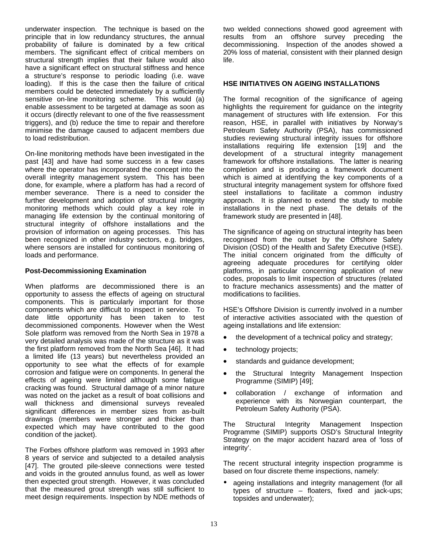underwater inspection. The technique is based on the principle that in low redundancy structures, the annual probability of failure is dominated by a few critical members. The significant effect of critical members on structural strength implies that their failure would also have a significant effect on structural stiffness and hence a structure's response to periodic loading (i.e. wave loading). If this is the case then the failure of critical members could be detected immediately by a sufficiently sensitive on-line monitoring scheme. This would (a) enable assessment to be targeted at damage as soon as it occurs (directly relevant to one of the five reassessment triggers), and (b) reduce the time to repair and therefore minimise the damage caused to adjacent members due to load redistribution.

On-line monitoring methods have been investigated in the past [43] and have had some success in a few cases where the operator has incorporated the concept into the overall integrity management system. This has been done, for example, where a platform has had a record of member severance. There is a need to consider the further development and adoption of structural integrity monitoring methods which could play a key role in managing life extension by the continual monitoring of structural integrity of offshore installations and the provision of information on ageing processes. This has been recognized in other industry sectors, e.g. bridges, where sensors are installed for continuous monitoring of loads and performance.

#### **Post-Decommissioning Examination**

When platforms are decommissioned there is an opportunity to assess the effects of ageing on structural components. This is particularly important for those components which are difficult to inspect in service. To date little opportunity has been taken to test decommissioned components. However when the West Sole platform was removed from the North Sea in 1978 a very detailed analysis was made of the structure as it was the first platform removed from the North Sea [46]. It had a limited life (13 years) but nevertheless provided an opportunity to see what the effects of for example corrosion and fatigue were on components. In general the effects of ageing were limited although some fatigue cracking was found. Structural damage of a minor nature was noted on the jacket as a result of boat collisions and wall thickness and dimensional surveys revealed significant differences in member sizes from as-built drawings (members were stronger and thicker than expected which may have contributed to the good condition of the jacket).

The Forbes offshore platform was removed in 1993 after 8 years of service and subjected to a detailed analysis [47]. The grouted pile-sleeve connections were tested and voids in the grouted annulus found, as well as lower then expected grout strength. However, it was concluded that the measured grout strength was still sufficient to meet design requirements. Inspection by NDE methods of

two welded connections showed good agreement with results from an offshore survey preceding the decommissioning. Inspection of the anodes showed a 20% loss of material, consistent with their planned design life.

#### **HSE INITIATIVES ON AGEING INSTALLATIONS**

The formal recognition of the significance of ageing highlights the requirement for guidance on the integrity management of structures with life extension. For this reason, HSE, in parallel with initiatives by Norway's Petroleum Safety Authority (PSA), has commissioned studies reviewing structural integrity issues for offshore installations requiring life extension [19] and the development of a structural integrity management framework for offshore installations. The latter is nearing completion and is producing a framework document which is aimed at identifying the key components of a structural integrity management system for offshore fixed steel installations to facilitate a common industry approach. It is planned to extend the study to mobile installations in the next phase. The details of the framework study are presented in [48].

The significance of ageing on structural integrity has been recognised from the outset by the Offshore Safety Division (OSD) of the Health and Safety Executive (HSE). The initial concern originated from the difficulty of agreeing adequate procedures for certifying older platforms, in particular concerning application of new codes, proposals to limit inspection of structures (related to fracture mechanics assessments) and the matter of modifications to facilities.

HSE's Offshore Division is currently involved in a number of interactive activities associated with the question of ageing installations and life extension:

- the development of a technical policy and strategy;
- technology projects;
- standards and guidance development;
- the Structural Integrity Management Inspection Programme (SIMIP) [49];
- collaboration / exchange of information and experience with its Norwegian counterpart, the Petroleum Safety Authority (PSA).

The Structural Integrity Management Inspection Programme (SIMIP) supports OSD's Structural Integrity Strategy on the major accident hazard area of 'loss of integrity'.

The recent structural integrity inspection programme is based on four discrete theme inspections, namely:

ageing installations and integrity management (for all types of structure – floaters, fixed and jack-ups; topsides and underwater);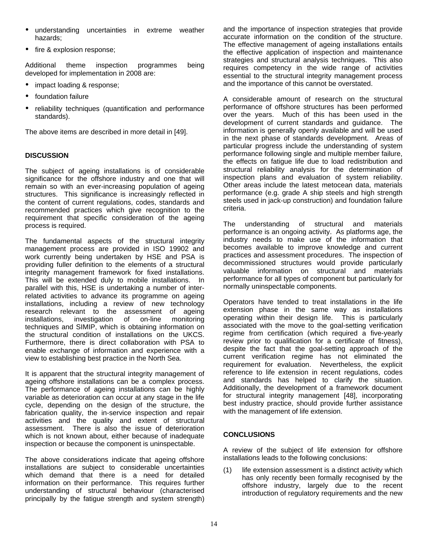- understanding uncertainties in extreme weather hazards;
- fire & explosion response;

Additional theme inspection programmes being developed for implementation in 2008 are:

- impact loading & response;
- foundation failure
- reliability techniques (quantification and performance standards).

The above items are described in more detail in [49].

# **DISCUSSION**

The subject of ageing installations is of considerable significance for the offshore industry and one that will remain so with an ever-increasing population of ageing structures. This significance is increasingly reflected in the content of current regulations, codes, standards and recommended practices which give recognition to the requirement that spe cific consideration of the ageing process is required.

The fundamental aspects of the structural integrity management process are provided in ISO 19902 and work currently being undertaken by HSE and PSA is providing fuller definition to the elements of a structural integrity management framework for fixed installations. This will be extended duly to mobile installations. In parallel with this, HSE is undertaking a number of interrelated activities to advance its programme on ageing installations, including a review of new technology research relevant to the assessment of ageing installations, investigation of on-line monitoring techniques and SIMIP, which is obtaining information on the structural condition of installations on the UKCS. Furthermore, there is direct collaboration with PSA to enable exchange of information and experience with a view to establishing best practice in the North Sea.

It is apparent that the structural integrity management of ageing offshore installations can be a complex process. The performance of ageing installations can be highly variable as deterioration can occur at any stage in the life cycle, depending on the design of the structure, the fabrication quality, the in-service inspection and repair activities and the quality and extent of structural assessment. There is also the issue of deterioration which is not known about, either because of inadequate inspection or because the component is uninspectable.

The above considerations indicate that ageing offshore installations are subject to considerable uncertainties which demand that there is a need for detailed information on their performance. This requires further understanding of structural behaviour (characterised principally by the fatigue strength and system strength)

and the importance of inspection strategies that provide accurate information on the condition of the structure. The effective management of ageing installations entails the effective application of inspection and maintenance strategies and structural analysis techniques. This also requires competency in the wide range of activities essential to the structural integrity management process and the importance of this cannot be overstated.

A considerable amount of research on the structural performance of offshore structures has been performed over the years. Much of this has been used in the development of current standards and guidance. The information is generally openly available and will be used in the next phase of standards development. Areas of particular progress include the understanding of system performance following single and multiple member failure, the effects on fatigue life due to load redistribution and structural reliability analysis for the determination of inspection plans and evaluation of system reliability. Other areas include the latest metocean data, materials performance (e.g. grade A ship steels and high strength steels used in jack-up construction) and foundation failure criteria.

The understanding of structural and materials performance is an ongoing activity. As platforms age, the industry needs to make use of the information that becomes available to improve knowledge and current practices and assessment procedures. The inspection of decommissioned structures would provide particularly valuable information on structural and materials performance for all types of component but particularly for normally uninspectable components.

Operators have tended to treat installations in the life extension phase in the same way as installations operating within their design life. This is particularly associated with the move to the goal-setting verification regime from certification (which required a five-yearly review prior to qualification for a certificate of fitness), despite the fact that the goal-setting approach of the current verification regime has not eliminated the requirement for evaluation. Nevertheless, the explicit reference to life extension in recent regulations, codes and standards has helped to clarify the situation. Additionally, the development of a framework document for structural integrity management [48], incorporating best industry practice, should provide further assistance with the management of life extension.

# **CONCLUSIONS**

A review of the subject of life extension for offshore installations leads to the following conclusions:

(1) life extension assessment is a distinct activity which has only recently been formally recognised by the offshore industry, largely due to the recent introduction of regulatory requirements and the new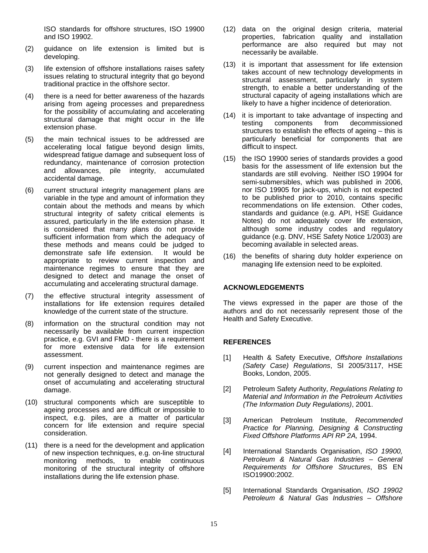ISO standards for offshore structures, ISO 19900 and ISO 19902.

- (2) guidance on life extension is limited but is developing.
- (3) life extension of offshore installations raises safety issues relating to structural integrity that go beyond traditional practice in the offshore sector.
- (4) there is a need for better awareness of the hazards arising from ageing processes and preparedness for the possibility of accumulating and accelerating structural damage that might occur in the life extension phase.
- (5) the main technical issues to be addressed are accelerating local fatigue beyond design limits, widespread fatigue damage and subsequent loss of redundancy, maintenance of corrosion protection and allowances, pile integrity, accumulated accidental damage.
- (6) current structural integrity management plans are variable in the type and amount of information they contain about the methods and means by which structural integrity of safety critical elements is assured, particularly in the life extension phase. It is considered that many plans do not provide sufficient information from which the adequacy of these methods and means could be judged to demonstrate safe life extension. It would be appropriate to review current inspection and maintenance regimes to ensure that they are designed to detect and manage the onset of accumulating and accelerating structural damage.
- (7) the effective structural integrity assessment of installations for life extension requires detailed knowledge of the current state of the structure.
- (8) information on the structural condition may not necessarily be available from current inspection practice, e.g. GVI and FMD - there is a requirement for more extensive data for life extension assessment.
- (9) current inspection and maintenance regimes are not generally designed to detect and manage the onset of accumulating and accelerating structural damage.
- (10) structural components which are susceptible to ageing processes and are difficult or impossible to inspect, e.g. piles, are a matter of particular concern for life extension and require special consideration.
- (11) there is a need for the development and application of new inspection techniques, e.g. on-line structural monitoring methods, to enable continuous monitoring of the structural integrity of offshore installations during the life extension phase.
- (12) data on the original design criteria, material properties, fabrication quality and installation performance are also required but may not necessarily be available.
- (13) it is important that assessment for life extension takes account of new technology developments in structural assessment, particularly in system strength, to enable a better understanding of the structural capacity of ageing installations which are likely to have a higher incidence of deterioration.
- (14) it is important to take advantage of inspecting and testing components from decommissioned structures to establish the effects of ageing – this is particularly beneficial for components that are difficult to inspect.
- (15) the ISO 19900 series of standards provides a good basis for the assessment of life extension but the standards are still evolving. Neither ISO 19904 for semi-submersibles, which was published in 2006, nor ISO 19905 for jack-ups, which is not expected to be published prior to 2010, contains specific recommendations on life extension. Other codes, standards and guidance (e.g. API, HSE Guidance Notes) do not adequately cover life extension, although some industry codes and regulatory guidance (e.g. DNV, HSE Safety Notice 1/2003) are becoming available in selected areas.
- (16) the benefits of sharing duty holder experience on managing life extension need to be exploited.

#### **ACKNOWLEDGEMENTS**

The views expressed in the paper are those of the authors and do not necessarily represent those of the Health and Safety Executive.

# **REFERENCES**

- [1] Health & Safety Executive, *Offshore Installations (Safety Case) Regulations*, SI 2005/3117, HSE Books, London, 2005.
- [2] Petroleum Safety Authority, *Regulations Relating to Material and Information in the Petroleum Activities (The Information Duty Regulations)*, 2001.
- [3] American Petroleum Institute, *Recommended Practice for Planning, Designing & Constructing Fixed Offshore Platforms API RP 2A,* 1994.
- [4] International Standards Organisation, *ISO 19900, Petroleum & Natural Gas Industries – General Requirements for Offshore Structures*, BS EN ISO19900:2002.
- [5] International Standards Organisation, *ISO 19902 Petroleum & Natural Gas Industries – Offshore*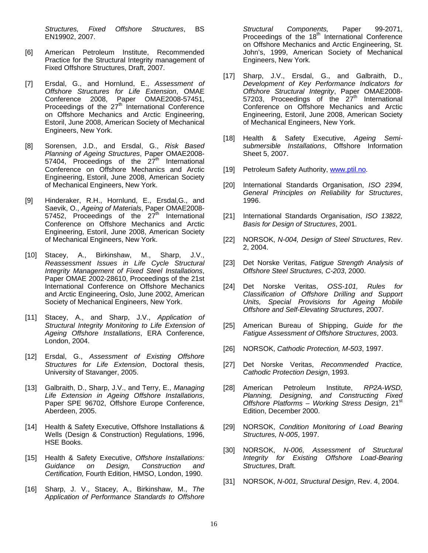*Structures, Fixed Offshore Structures*, BS EN19902, 2007.

- [6] American Petroleum Institute, Recommended Practice for the Structural Integrity management of Fixed Offshore Structures, Draft, 2007.
- [7] Ersdal, G., and Hornlund, E., *Assessment of Offshore Structures for Life Extension*, OMAE Conference 2008, Paper OMAE2008-57451, Proceedings of the  $27<sup>th</sup>$  International Conference on Offshore Mechanics and Arctic Engineering, Estoril, June 2008, American Society of Mechanical Engineers, New York.
- [8] Sorensen, J.D., and Ersdal, G., *Risk Based Planning of Ageing Structures*, Paper OMAE2008- 57404, Proceedings of the  $27<sup>th</sup>$  International Conference on Offshore Mechanics and Arctic Engineering, Estoril, June 2008, American Society of Mechanical Engineers, New York.
- [9] Hinderaker, R.H., Hornlund, E., Ersdal,G., and Saevik, O., *Ageing of Materials*, Paper OMAE2008- 57452, Proceedings of the  $27<sup>th</sup>$  International Conference on Offshore Mechanics and Arctic Engineering, Estoril, June 2008, American Society of Mechanical Engineers, New York.
- [10] Stacey, A., Birkinshaw, M., Sharp, J.V., *Reassessment Issues in Life Cycle Structural Integrity Management of Fixed Steel Installations*, Paper OMAE 2002-28610, Proceedings of the 21st International Conference on Offshore Mechanics and Arctic Engineering, Oslo, June 2002, American Society of Mechanical Engineers, New York.
- [11] Stacey, A., and Sharp, J.V., *Application of Structural Integrity Monitoring to Life Extension of Ageing Offshore Installations*, ERA Conference, London, 2004.
- [12] Ersdal, G., *Assessment of Existing Offshore Structures for Life Extension*, Doctoral thesis, University of Stavanger, 2005.
- [13] Galbraith, D., Sharp, J.V., and Terry, E., *Managing Life Extension in Ageing Offshore Installations*, Paper SPE 96702, Offshore Europe Conference, Aberdeen, 2005.
- [14] Health & Safety Executive, Offshore Installations & Wells (Design & Construction) Regulations, 1996, HSE Books.
- [15] Health & Safety Executive, *Offshore Installations: Guidance on Design, Construction and Certification,* Fourth Edition, HMSO, London, 1990.
- [16] Sharp, J. V., Stacey, A., Birkinshaw, M., *The Application of Performance Standards to Offshore*

*Structural Components,* Paper 99-2071, Proceedings of the 18<sup>th</sup> International Conference on Offshore Mechanics and Arctic Engineering, St. John's, 1999, American Society of Mechanical Engineers, New York.

- [17] Sharp, J.V., Ersdal, G., and Galbraith, D., *Development of Key Performance Indicators for Offshore Structural Integrity*, Paper OMAE2008- 57203, Proceedings of the  $27<sup>th</sup>$  International Conference on Offshore Mechanics and Arctic Engineering, Estoril, June 2008, American Society of Mechanical Engineers, New York.
- [18] Health & Safety Executive, *Ageing Semisubmersible Installations*, Offshore Information Sheet 5, 2007.
- [19] Petroleum Safety Authority, [www.ptil.no.](http://www.ptil.no/)
- [20] International Standards Organisation, *ISO 2394, General Principles on Reliability for Structures*, 1996.
- [21] International Standards Organisation, *ISO 13822, Basis for Design of Structures*, 2001.
- [22] NORSOK, *N-004, Design of Steel Structures*, Rev. 2, 2004.
- [23] Det Norske Veritas, *Fatigue Strength Analysis of Offshore Steel Structures, C-203*, 2000.
- [24] Det Norske Veritas, *OSS-101, Rules for Classification of Offshore Drilling and Support Units, Special Provisions for Ageing Mobile Offshore and Self-Elevating Structures*, 2007.
- [25] American Bureau of Shipping, *Guide for the Fatigue Assessment of Offshore Structures*, 2003.
- [26] NORSOK, *Cathodic Protection, M-503*, 1997.
- [27] Det Norske Veritas, *Recommended Practice, Cathodic Protection Design*, 1993.
- [28] American Petroleum Institute, *RP2A-WSD, Planning, Designing, and Constructing Fixed Offshore Platforms – Working Stress Design, 21<sup>st</sup>* Edition, December 2000.
- [29] NORSOK, *Condition Monitoring of Load Bearing Structures, N-005*, 1997.
- [30] NORSOK, *N-006, Assessment of Structural Integrity for Existing Offshore Load-Bearing Structures*, Draft.
- [31] NORSOK, *N-001, Structural Design*, Rev. 4, 2004.